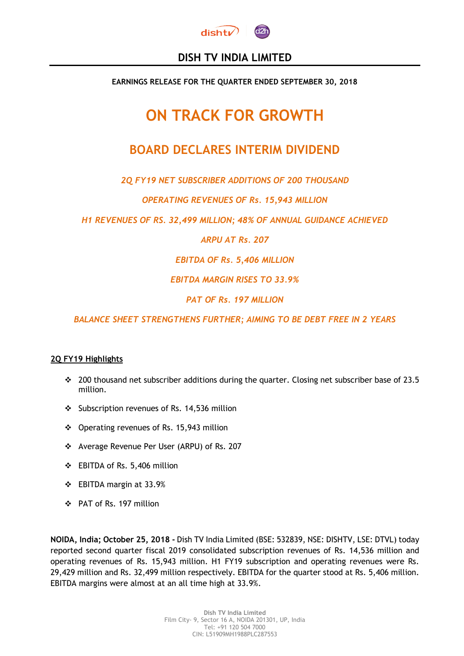

# **DISH TV INDIA LIMITED**

**EARNINGS RELEASE FOR THE QUARTER ENDED SEPTEMBER 30, 2018** 

# **ON TRACK FOR GROWTH**

# **BOARD DECLARES INTERIM DIVIDEND**

*2Q FY19 NET SUBSCRIBER ADDITIONS OF 200 THOUSAND*

*OPERATING REVENUES OF Rs. 15,943 MILLION*

*H1 REVENUES OF RS. 32,499 MILLION; 48% OF ANNUAL GUIDANCE ACHIEVED*

*ARPU AT Rs. 207*

*EBITDA OF Rs. 5,406 MILLION*

*EBITDA MARGIN RISES TO 33.9%* 

*PAT OF Rs. 197 MILLION*

*BALANCE SHEET STRENGTHENS FURTHER; AIMING TO BE DEBT FREE IN 2 YEARS*

# **2Q FY19 Highlights**

- $\div$  200 thousand net subscriber additions during the quarter. Closing net subscriber base of 23.5 million.
- Subscription revenues of Rs. 14,536 million
- Operating revenues of Rs. 15,943 million
- \* Average Revenue Per User (ARPU) of Rs. 207
- EBITDA of Rs. 5,406 million
- EBITDA margin at 33.9%
- PAT of Rs. 197 million

**NOIDA, India; October 25, 2018 -** Dish TV India Limited (BSE: 532839, NSE: DISHTV, LSE: DTVL) today reported second quarter fiscal 2019 consolidated subscription revenues of Rs. 14,536 million and operating revenues of Rs. 15,943 million. H1 FY19 subscription and operating revenues were Rs. 29,429 million and Rs. 32,499 million respectively. EBITDA for the quarter stood at Rs. 5,406 million. EBITDA margins were almost at an all time high at 33.9%.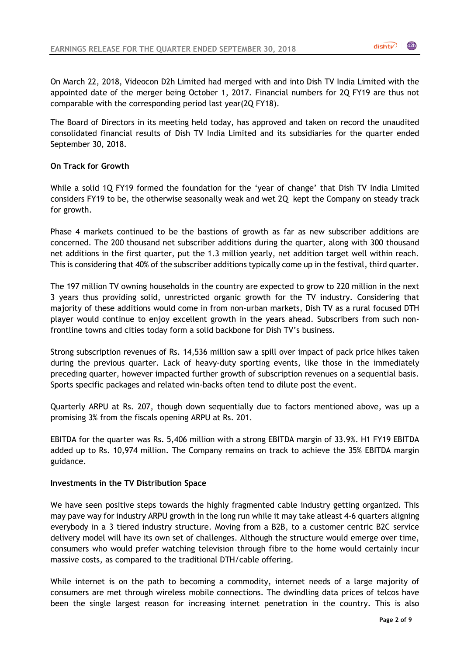On March 22, 2018, Videocon D2h Limited had merged with and into Dish TV India Limited with the appointed date of the merger being October 1, 2017. Financial numbers for 2Q FY19 are thus not comparable with the corresponding period last year(2Q FY18).

The Board of Directors in its meeting held today, has approved and taken on record the unaudited consolidated financial results of Dish TV India Limited and its subsidiaries for the quarter ended September 30, 2018.

## **On Track for Growth**

While a solid 1Q FY19 formed the foundation for the 'year of change' that Dish TV India Limited considers FY19 to be, the otherwise seasonally weak and wet 2Q kept the Company on steady track for growth.

Phase 4 markets continued to be the bastions of growth as far as new subscriber additions are concerned. The 200 thousand net subscriber additions during the quarter, along with 300 thousand net additions in the first quarter, put the 1.3 million yearly, net addition target well within reach. This is considering that 40% of the subscriber additions typically come up in the festival, third quarter.

The 197 million TV owning households in the country are expected to grow to 220 million in the next 3 years thus providing solid, unrestricted organic growth for the TV industry. Considering that majority of these additions would come in from non-urban markets, Dish TV as a rural focused DTH player would continue to enjoy excellent growth in the years ahead. Subscribers from such nonfrontline towns and cities today form a solid backbone for Dish TV's business.

Strong subscription revenues of Rs. 14,536 million saw a spill over impact of pack price hikes taken during the previous quarter. Lack of heavy-duty sporting events, like those in the immediately preceding quarter, however impacted further growth of subscription revenues on a sequential basis. Sports specific packages and related win-backs often tend to dilute post the event.

Quarterly ARPU at Rs. 207, though down sequentially due to factors mentioned above, was up a promising 3% from the fiscals opening ARPU at Rs. 201.

EBITDA for the quarter was Rs. 5,406 million with a strong EBITDA margin of 33.9%. H1 FY19 EBITDA added up to Rs. 10,974 million. The Company remains on track to achieve the 35% EBITDA margin guidance.

#### **Investments in the TV Distribution Space**

We have seen positive steps towards the highly fragmented cable industry getting organized. This may pave way for industry ARPU growth in the long run while it may take atleast 4-6 quarters aligning everybody in a 3 tiered industry structure. Moving from a B2B, to a customer centric B2C service delivery model will have its own set of challenges. Although the structure would emerge over time, consumers who would prefer watching television through fibre to the home would certainly incur massive costs, as compared to the traditional DTH/cable offering.

While internet is on the path to becoming a commodity, internet needs of a large majority of consumers are met through wireless mobile connections. The dwindling data prices of telcos have been the single largest reason for increasing internet penetration in the country. This is also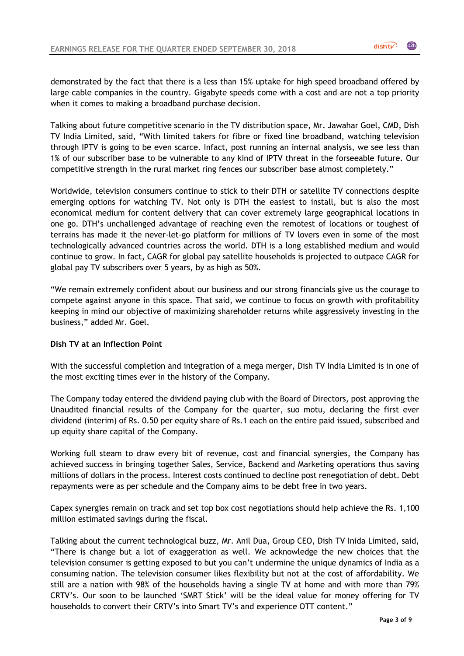demonstrated by the fact that there is a less than 15% uptake for high speed broadband offered by large cable companies in the country. Gigabyte speeds come with a cost and are not a top priority when it comes to making a broadband purchase decision.

Talking about future competitive scenario in the TV distribution space, Mr. Jawahar Goel, CMD, Dish TV India Limited, said, "With limited takers for fibre or fixed line broadband, watching television through IPTV is going to be even scarce. Infact, post running an internal analysis, we see less than 1% of our subscriber base to be vulnerable to any kind of IPTV threat in the forseeable future. Our competitive strength in the rural market ring fences our subscriber base almost completely."

Worldwide, television consumers continue to stick to their DTH or satellite TV connections despite emerging options for watching TV. Not only is DTH the easiest to install, but is also the most economical medium for content delivery that can cover extremely large geographical locations in one go. DTH's unchallenged advantage of reaching even the remotest of locations or toughest of terrains has made it the never-let-go platform for millions of TV lovers even in some of the most technologically advanced countries across the world. DTH is a long established medium and would continue to grow. In fact, CAGR for global pay satellite households is projected to outpace CAGR for global pay TV subscribers over 5 years, by as high as 50%.

"We remain extremely confident about our business and our strong financials give us the courage to compete against anyone in this space. That said, we continue to focus on growth with profitability keeping in mind our objective of maximizing shareholder returns while aggressively investing in the business," added Mr. Goel.

# **Dish TV at an Inflection Point**

With the successful completion and integration of a mega merger, Dish TV India Limited is in one of the most exciting times ever in the history of the Company.

The Company today entered the dividend paying club with the Board of Directors, post approving the Unaudited financial results of the Company for the quarter, suo motu, declaring the first ever dividend (interim) of Rs. 0.50 per equity share of Rs.1 each on the entire paid issued, subscribed and up equity share capital of the Company.

Working full steam to draw every bit of revenue, cost and financial synergies, the Company has achieved success in bringing together Sales, Service, Backend and Marketing operations thus saving millions of dollars in the process. Interest costs continued to decline post renegotiation of debt. Debt repayments were as per schedule and the Company aims to be debt free in two years.

Capex synergies remain on track and set top box cost negotiations should help achieve the Rs. 1,100 million estimated savings during the fiscal.

Talking about the current technological buzz, Mr. Anil Dua, Group CEO, Dish TV Inida Limited, said, "There is change but a lot of exaggeration as well. We acknowledge the new choices that the television consumer is getting exposed to but you can't undermine the unique dynamics of India as a consuming nation. The television consumer likes flexibility but not at the cost of affordability. We still are a nation with 98% of the households having a single TV at home and with more than 79% CRTV's. Our soon to be launched 'SMRT Stick' will be the ideal value for money offering for TV households to convert their CRTV's into Smart TV's and experience OTT content."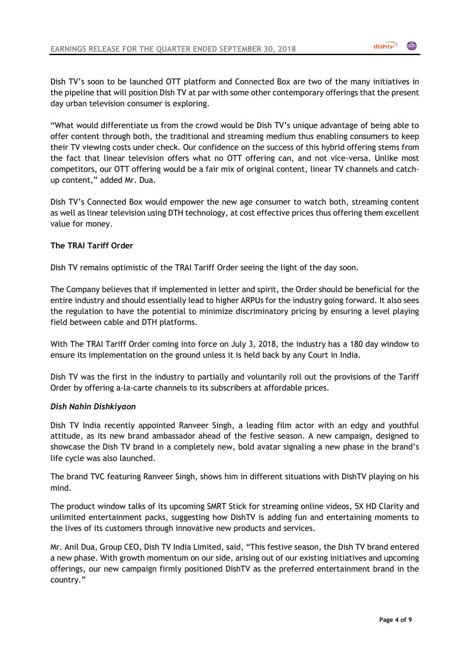Dish TV's soon to be launched OTT platform and Connected Box are two of the many initiatives in the pipeline that will position Dish TV at par with some other contemporary offerings that the present day urban television consumer is exploring.

"What would differentiate us from the crowd would be Dish TV's unique advantage of being able to offer content through both, the traditional and streaming medium thus enabling consumers to keep their TV viewing costs under check. Our confidence on the success of this hybrid offering stems from the fact that linear television offers what no OTT offering can, and not vice-versa. Unlike most competitors, our OTT offering would be a fair mix of original content, linear TV channels and catchup content," added Mr. Dua.

Dish TV's Connected Box would empower the new age consumer to watch both, streaming content as well as linear television using DTH technology, at cost effective prices thus offering them excellent value for money.

# **The TRAI Tariff Order**

Dish TV remains optimistic of the TRAI Tariff Order seeing the light of the day soon.

The Company believes that if implemented in letter and spirit, the Order should be beneficial for the entire industry and should essentially lead to higher ARPUs for the industry going forward. It also sees the regulation to have the potential to minimize discriminatory pricing by ensuring a level playing field between cable and DTH platforms.

With The TRAI Tariff Order coming into force on July 3, 2018, the industry has a 180 day window to ensure its implementation on the ground unless it is held back by any Court in India.

Dish TV was the first in the industry to partially and voluntarily roll out the provisions of the Tariff Order by offering a-la-carte channels to its subscribers at affordable prices.

# *Dish Nahin Dishkiyaon*

Dish TV India recently appointed Ranveer Singh, a leading film actor with an edgy and youthful attitude, as its new brand ambassador ahead of the festive season. A new campaign, designed to showcase the Dish TV brand in a completely new, bold avatar signaling a new phase in the brand's life cycle was also launched.

The brand TVC featuring Ranveer Singh, shows him in different situations with DishTV playing on his mind.

The product window talks of its upcoming SMRT Stick for streaming online videos, 5X HD Clarity and unlimited entertainment packs, suggesting how DishTV is adding fun and entertaining moments to the lives of its customers through innovative new products and services.

Mr. Anil Dua, Group CEO, Dish TV India Limited, said, "This festive season, the Dish TV brand entered a new phase. With growth momentum on our side, arising out of our existing initiatives and upcoming offerings, our new campaign firmly positioned DishTV as the preferred entertainment brand in the country."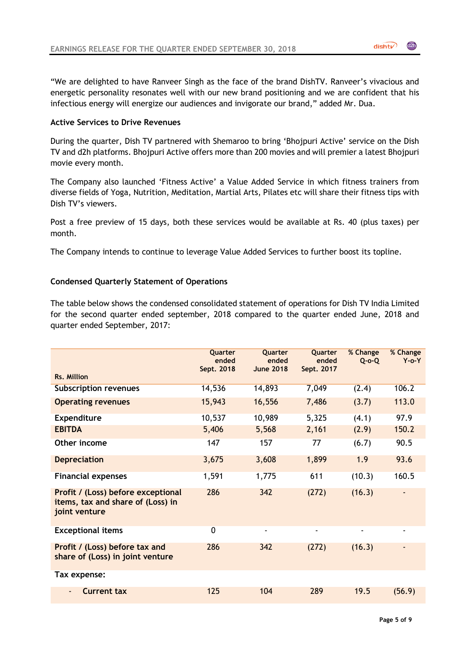"We are delighted to have Ranveer Singh as the face of the brand DishTV. Ranveer's vivacious and energetic personality resonates well with our new brand positioning and we are confident that his infectious energy will energize our audiences and invigorate our brand," added Mr. Dua.

## **Active Services to Drive Revenues**

During the quarter, Dish TV partnered with Shemaroo to bring 'Bhojpuri Active' service on the Dish TV and d2h platforms. Bhojpuri Active offers more than 200 movies and will premier a latest Bhojpuri movie every month.

The Company also launched 'Fitness Active' a Value Added Service in which fitness trainers from diverse fields of Yoga, Nutrition, Meditation, Martial Arts, Pilates etc will share their fitness tips with Dish TV's viewers.

Post a free preview of 15 days, both these services would be available at Rs. 40 (plus taxes) per month.

The Company intends to continue to leverage Value Added Services to further boost its topline.

### **Condensed Quarterly Statement of Operations**

The table below shows the condensed consolidated statement of operations for Dish TV India Limited for the second quarter ended september, 2018 compared to the quarter ended June, 2018 and quarter ended September, 2017:

|                                                                                          | Quarter<br>ended<br>Sept. 2018 | <b>Ouarter</b><br>ended<br><b>June 2018</b> | Quarter<br>ended<br>Sept. 2017 | % Change<br>$Q$ -o-Q | % Change<br>$Y$ -o- $Y$ |
|------------------------------------------------------------------------------------------|--------------------------------|---------------------------------------------|--------------------------------|----------------------|-------------------------|
| <b>Rs. Million</b>                                                                       |                                |                                             |                                |                      |                         |
| <b>Subscription revenues</b>                                                             | 14,536                         | 14,893                                      | 7,049                          | (2.4)                | 106.2                   |
| <b>Operating revenues</b>                                                                | 15,943                         | 16,556                                      | 7,486                          | (3.7)                | 113.0                   |
| <b>Expenditure</b>                                                                       | 10,537                         | 10,989                                      | 5,325                          | (4.1)                | 97.9                    |
| <b>EBITDA</b>                                                                            | 5,406                          | 5,568                                       | 2,161                          | (2.9)                | 150.2                   |
| Other income                                                                             | 147                            | 157                                         | 77                             | (6.7)                | 90.5                    |
| <b>Depreciation</b>                                                                      | 3,675                          | 3,608                                       | 1,899                          | 1.9                  | 93.6                    |
| <b>Financial expenses</b>                                                                | 1,591                          | 1,775                                       | 611                            | (10.3)               | 160.5                   |
| Profit / (Loss) before exceptional<br>items, tax and share of (Loss) in<br>joint venture | 286                            | 342                                         | (272)                          | (16.3)               |                         |
| <b>Exceptional items</b>                                                                 | $\mathbf 0$                    | $\overline{\phantom{0}}$                    | $\blacksquare$                 | $\blacksquare$       | $\blacksquare$          |
| Profit / (Loss) before tax and<br>share of (Loss) in joint venture                       | 286                            | 342                                         | (272)                          | (16.3)               |                         |
| Tax expense:                                                                             |                                |                                             |                                |                      |                         |
| <b>Current tax</b>                                                                       | 125                            | 104                                         | 289                            | 19.5                 | (56.9)                  |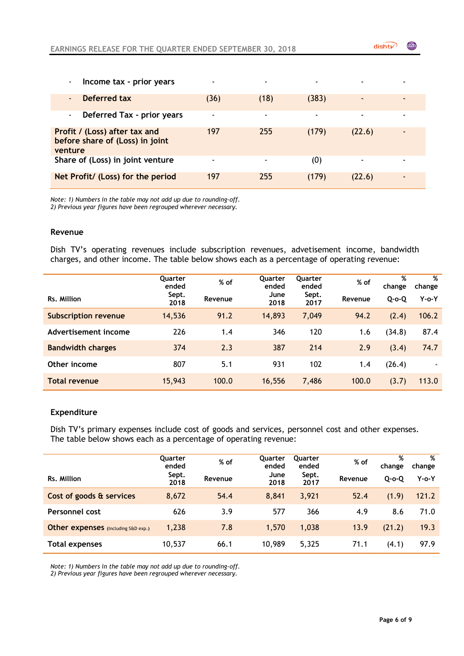| Income tax - prior years<br>$\blacksquare$                                  |      | $\overline{\phantom{0}}$ |                |        |                          |
|-----------------------------------------------------------------------------|------|--------------------------|----------------|--------|--------------------------|
| Deferred tax<br>$\blacksquare$                                              | (36) | (18)                     | (383)          |        | $\overline{\phantom{0}}$ |
| Deferred Tax - prior years<br>$\blacksquare$                                |      | $\overline{\phantom{0}}$ | $\blacksquare$ |        |                          |
| Profit / (Loss) after tax and<br>before share of (Loss) in joint<br>venture | 197  | 255                      | (179)          | (22.6) |                          |
| Share of (Loss) in joint venture                                            |      | $\overline{ }$           | (0)            |        | $\blacksquare$           |
| Net Profit/ (Loss) for the period                                           | 197  | 255                      | (179)          | (22.6) | $\overline{\phantom{0}}$ |

*Note: 1) Numbers in the table may not add up due to rounding-off. 2) Previous year figures have been regrouped wherever necessary.*

#### **Revenue**

Dish TV's operating revenues include subscription revenues, advetisement income, bandwidth charges, and other income. The table below shows each as a percentage of operating revenue:

|                             | Quarter<br>ended | % of    | <b>Ouarter</b><br>ended | Quarter<br>ended | % of    | %<br>change | %<br>change              |
|-----------------------------|------------------|---------|-------------------------|------------------|---------|-------------|--------------------------|
| Rs. Million                 | Sept.<br>2018    | Revenue | June<br>2018            | Sept.<br>2017    | Revenue | $Q$ -o- $Q$ | $Y$ -o- $Y$              |
| <b>Subscription revenue</b> | 14,536           | 91.2    | 14,893                  | 7,049            | 94.2    | (2.4)       | 106.2                    |
| Advertisement income        | 226              | 1.4     | 346                     | 120              | 1.6     | (34.8)      | 87.4                     |
| <b>Bandwidth charges</b>    | 374              | 2.3     | 387                     | 214              | 2.9     | (3.4)       | 74.7                     |
| Other income                | 807              | 5.1     | 931                     | 102              | 1.4     | (26.4)      | $\overline{\phantom{a}}$ |
| <b>Total revenue</b>        | 15,943           | 100.0   | 16,556                  | 7,486            | 100.0   | (3.7)       | 113.0                    |

#### **Expenditure**

Dish TV's primary expenses include cost of goods and services, personnel cost and other expenses. The table below shows each as a percentage of operating revenue:

| Rs. Million                         | Quarter<br>ended<br>Sept. | % of    | Quarter<br>ended<br>June | Quarter<br>ended<br>Sept. | % of    | %<br>change | %<br>change |
|-------------------------------------|---------------------------|---------|--------------------------|---------------------------|---------|-------------|-------------|
|                                     | 2018                      | Revenue | 2018                     | 2017                      | Revenue | $Q$ -o-Q    | Y-o-Y       |
| Cost of goods & services            | 8,672                     | 54.4    | 8,841                    | 3,921                     | 52.4    | (1.9)       | 121.2       |
| Personnel cost                      | 626                       | 3.9     | 577                      | 366                       | 4.9     | 8.6         | 71.0        |
| Other expenses (Including S&D exp.) | 1,238                     | 7.8     | 1,570                    | 1,038                     | 13.9    | (21.2)      | 19.3        |
| <b>Total expenses</b>               | 10,537                    | 66.1    | 10,989                   | 5,325                     | 71.1    | (4.1)       | 97.9        |

*Note: 1) Numbers in the table may not add up due to rounding-off.*

*2) Previous year figures have been regrouped wherever necessary.*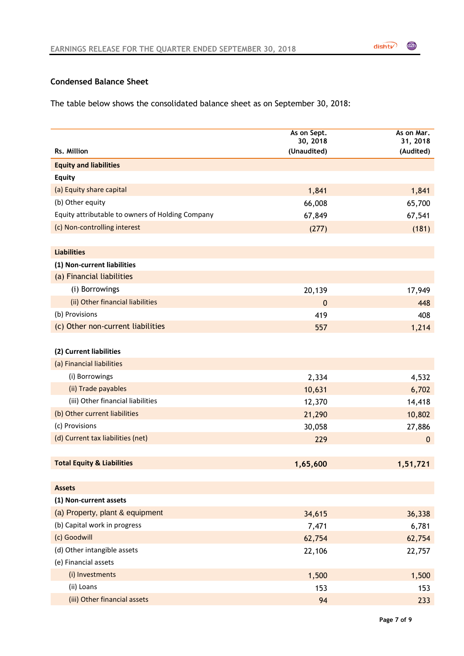# **Condensed Balance Sheet**

The table below shows the consolidated balance sheet as on September 30, 2018:

|                                                  | As on Sept.<br>30, 2018 | As on Mar.<br>31, 2018 |
|--------------------------------------------------|-------------------------|------------------------|
| Rs. Million                                      | (Unaudited)             | (Audited)              |
| <b>Equity and liabilities</b>                    |                         |                        |
| <b>Equity</b>                                    |                         |                        |
| (a) Equity share capital                         | 1,841                   | 1,841                  |
| (b) Other equity                                 | 66,008                  | 65,700                 |
| Equity attributable to owners of Holding Company | 67,849                  | 67,541                 |
| (c) Non-controlling interest                     | (277)                   | (181)                  |
|                                                  |                         |                        |
| <b>Liabilities</b>                               |                         |                        |
| (1) Non-current liabilities                      |                         |                        |
| (a) Financial liabilities                        |                         |                        |
| (i) Borrowings                                   | 20,139                  | 17,949                 |
| (ii) Other financial liabilities                 | $\mathbf 0$             | 448                    |
| (b) Provisions                                   | 419                     | 408                    |
| (c) Other non-current liabilities                | 557                     | 1,214                  |
|                                                  |                         |                        |
| (2) Current liabilities                          |                         |                        |
| (a) Financial liabilities                        |                         |                        |
| (i) Borrowings                                   | 2,334                   | 4,532                  |
| (ii) Trade payables                              | 10,631                  | 6,702                  |
| (iii) Other financial liabilities                | 12,370                  | 14,418                 |
| (b) Other current liabilities                    | 21,290                  | 10,802                 |
| (c) Provisions                                   | 30,058                  | 27,886                 |
| (d) Current tax liabilities (net)                | 229                     | $\boldsymbol{0}$       |
|                                                  |                         |                        |
| <b>Total Equity &amp; Liabilities</b>            | 1,65,600                | 1,51,721               |
|                                                  |                         |                        |
| <b>Assets</b>                                    |                         |                        |
| (1) Non-current assets                           |                         |                        |
| (a) Property, plant & equipment                  | 34,615                  | 36,338                 |
| (b) Capital work in progress                     | 7,471                   | 6,781                  |
| (c) Goodwill                                     | 62,754                  | 62,754                 |
| (d) Other intangible assets                      | 22,106                  | 22,757                 |
| (e) Financial assets                             |                         |                        |
| (i) Investments                                  | 1,500                   | 1,500                  |
| (ii) Loans                                       | 153                     | 153                    |
| (iii) Other financial assets                     | 94                      | 233                    |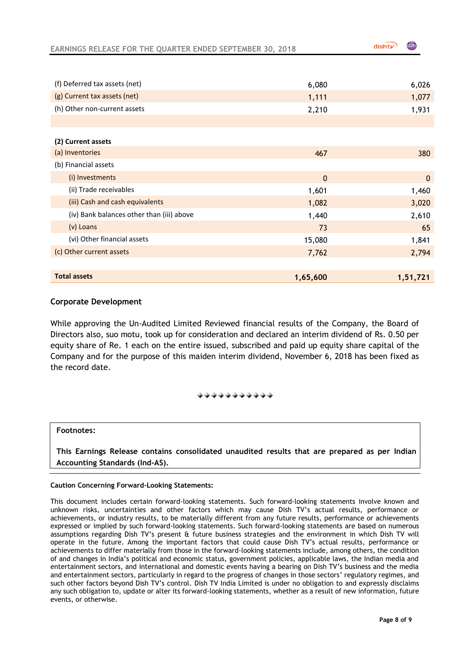$distV$ 

| (f) Deferred tax assets (net)             | 6,080        | 6,026        |
|-------------------------------------------|--------------|--------------|
| (g) Current tax assets (net)              | 1,111        | 1,077        |
| (h) Other non-current assets              | 2,210        | 1,931        |
|                                           |              |              |
| (2) Current assets                        |              |              |
| (a) Inventories                           | 467          | 380          |
| (b) Financial assets                      |              |              |
| (i) Investments                           | $\mathbf{0}$ | $\mathbf{0}$ |
| (ii) Trade receivables                    | 1,601        | 1,460        |
| (iii) Cash and cash equivalents           | 1,082        | 3,020        |
| (iv) Bank balances other than (iii) above | 1,440        | 2,610        |
| (v) Loans                                 | 73           | 65           |
| (vi) Other financial assets               | 15,080       | 1,841        |
| (c) Other current assets                  | 7,762        | 2,794        |
|                                           |              |              |
| <b>Total assets</b>                       | 1,65,600     | 1,51,721     |

#### **Corporate Development**

While approving the Un-Audited Limited Reviewed financial results of the Company, the Board of Directors also, suo motu, took up for consideration and declared an interim dividend of Rs. 0.50 per equity share of Re. 1 each on the entire issued, subscribed and paid up equity share capital of the Company and for the purpose of this maiden interim dividend, November 6, 2018 has been fixed as the record date.

#### . . . . . . . . . . .

#### **Footnotes:**

**This Earnings Release contains consolidated unaudited results that are prepared as per Indian Accounting Standards (Ind-AS).**

#### **Caution Concerning Forward-Looking Statements:**

This document includes certain forward-looking statements. Such forward-looking statements involve known and unknown risks, uncertainties and other factors which may cause Dish TV's actual results, performance or achievements, or industry results, to be materially different from any future results, performance or achievements expressed or implied by such forward-looking statements. Such forward-looking statements are based on numerous assumptions regarding Dish TV's present & future business strategies and the environment in which Dish TV will operate in the future. Among the important factors that could cause Dish TV's actual results, performance or achievements to differ materially from those in the forward-looking statements include, among others, the condition of and changes in India's political and economic status, government policies, applicable laws, the Indian media and entertainment sectors, and international and domestic events having a bearing on Dish TV's business and the media and entertainment sectors, particularly in regard to the progress of changes in those sectors' regulatory regimes, and such other factors beyond Dish TV's control. Dish TV India Limited is under no obligation to and expressly disclaims any such obligation to, update or alter its forward-looking statements, whether as a result of new information, future events, or otherwise.